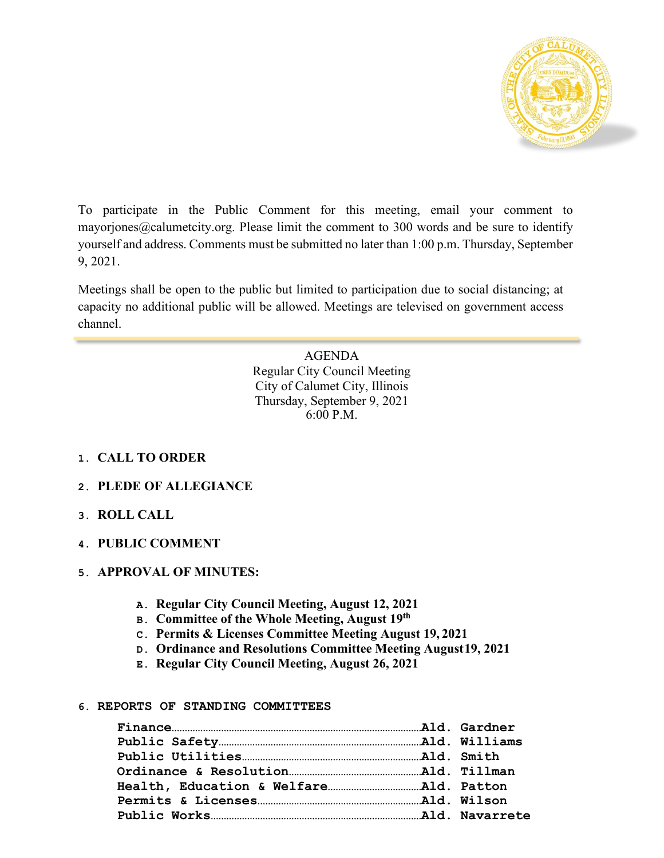

To participate in the Public Comment for this meeting, email your comment to [mayorjones@calumetcity.org. P](mailto:mayorjones@calumetcity.org)lease limit the comment to 300 words and be sure to identify yourself and address. Comments must be submitted no later than 1:00 p.m. Thursday, September 9, 2021.

Meetings shall be open to the public but limited to participation due to social distancing; at capacity no additional public will be allowed. Meetings are televised on government access channel.

> AGENDA Regular City Council Meeting City of Calumet City, Illinois Thursday, September 9, 2021 6:00 P.M.

# **1. CALL TO ORDER**

## **2. PLEDE OF ALLEGIANCE**

- **3. ROLL CALL**
- **4. PUBLIC COMMENT**

## **5. APPROVAL OF MINUTES:**

- **A. Regular City Council Meeting, August 12, 2021**
- **B. Committee of the Whole Meeting, August 19th**
- **C. Permits & Licenses Committee Meeting August 19, 2021**
- **D. Ordinance and Resolutions Committee Meeting August19, 2021**
- **E. Regular City Council Meeting, August 26, 2021**

#### **6. REPORTS OF STANDING COMMITTEES**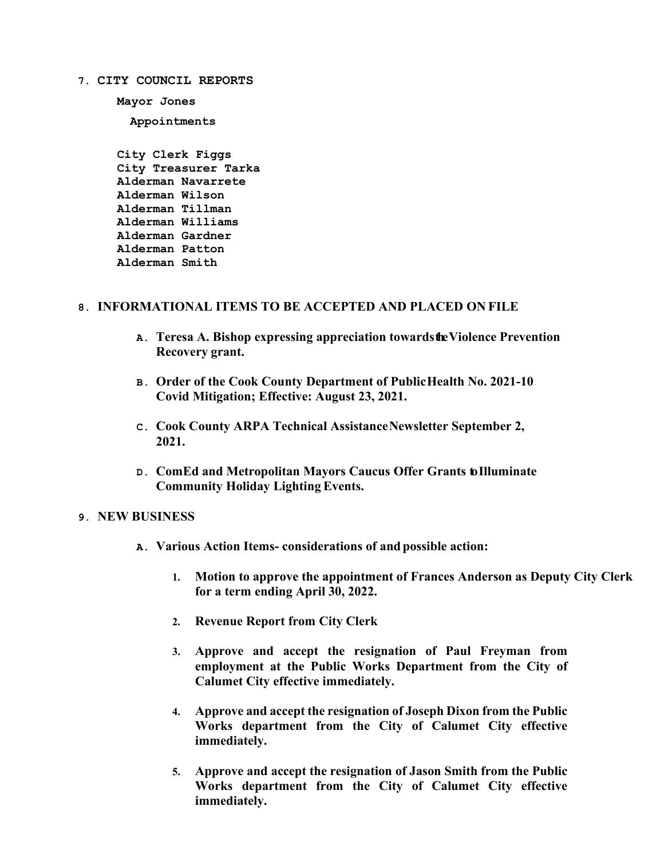**7. CITY COUNCIL REPORTS**

**Mayor Jones Appointments**

**City Clerk Figgs City Treasurer Tarka Alderman Navarrete Alderman Wilson Alderman Tillman Alderman Williams Alderman Gardner Alderman Patton Alderman Smith**

## **8. INFORMATIONAL ITEMS TO BE ACCEPTED AND PLACED ON FILE**

- **A. Teresa A. Bishop expressing appreciation towardstheViolence Prevention Recovery grant.**
- **B. Order of the Cook County Department of PublicHealth No. 2021-10 Covid Mitigation; Effective: August 23, 2021.**
- **C. Cook County ARPA Technical AssistanceNewsletter September 2, 2021.**
- **D. ComEd and Metropolitan Mayors Caucus Offer Grants toIlluminate Community Holiday Lighting Events.**

#### **9. NEW BUSINESS**

- **A. Various Action Items- considerations of and possible action:**
	- **1. Motion to approve the appointment of Frances Anderson as Deputy City Clerk for a term ending April 30, 2022.**
	- **2. Revenue Report from City Clerk**
	- **3. Approve and accept the resignation of Paul Freyman from employment at the Public Works Department from the City of Calumet City effective immediately.**
	- **4. Approve and accept the resignation of Joseph Dixon from the Public Works department from the City of Calumet City effective immediately.**
	- **5. Approve and accept the resignation of Jason Smith from the Public Works department from the City of Calumet City effective immediately.**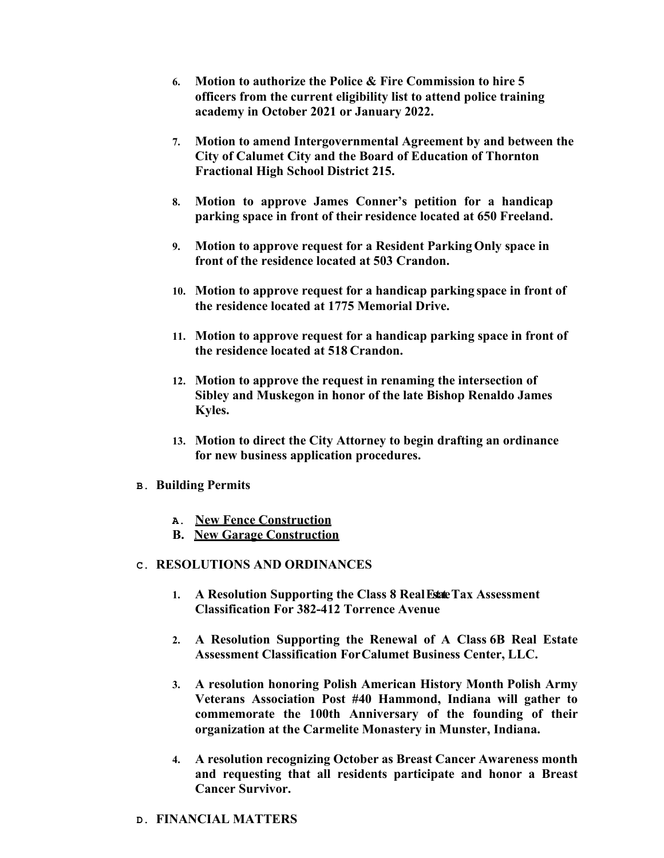- **6. Motion to authorize the Police & Fire Commission to hire 5 officers from the current eligibility list to attend police training academy in October 2021 or January 2022.**
- **7. Motion to amend Intergovernmental Agreement by and between the City of Calumet City and the Board of Education of Thornton Fractional High School District 215.**
- **8. Motion to approve James Conner's petition for a handicap parking space in front of their residence located at 650 Freeland.**
- **9. Motion to approve request for a Resident ParkingOnly space in front of the residence located at 503 Crandon.**
- **10. Motion to approve request for a handicap parking space in front of the residence located at 1775 Memorial Drive.**
- **11. Motion to approve request for a handicap parking space in front of the residence located at 518 Crandon.**
- **12. Motion to approve the request in renaming the intersection of Sibley and Muskegon in honor of the late Bishop Renaldo James Kyles.**
- **13. Motion to direct the City Attorney to begin drafting an ordinance for new business application procedures.**
- **B. Building Permits**
	- **A. New Fence Construction**
	- **B. New Garage Construction**

#### **C. RESOLUTIONS AND ORDINANCES**

- **1. A Resolution Supporting the Class 8 RealEstateTax Assessment Classification For 382-412 Torrence Avenue**
- **2. A Resolution Supporting the Renewal of A Class 6B Real Estate Assessment Classification ForCalumet Business Center, LLC.**
- **3. A resolution honoring Polish American History Month Polish Army Veterans Association Post #40 Hammond, Indiana will gather to commemorate the 100th Anniversary of the founding of their organization at the Carmelite Monastery in Munster, Indiana.**
- **4. A resolution recognizing October as Breast Cancer Awareness month and requesting that all residents participate and honor a Breast Cancer Survivor.**
- **D. FINANCIAL MATTERS**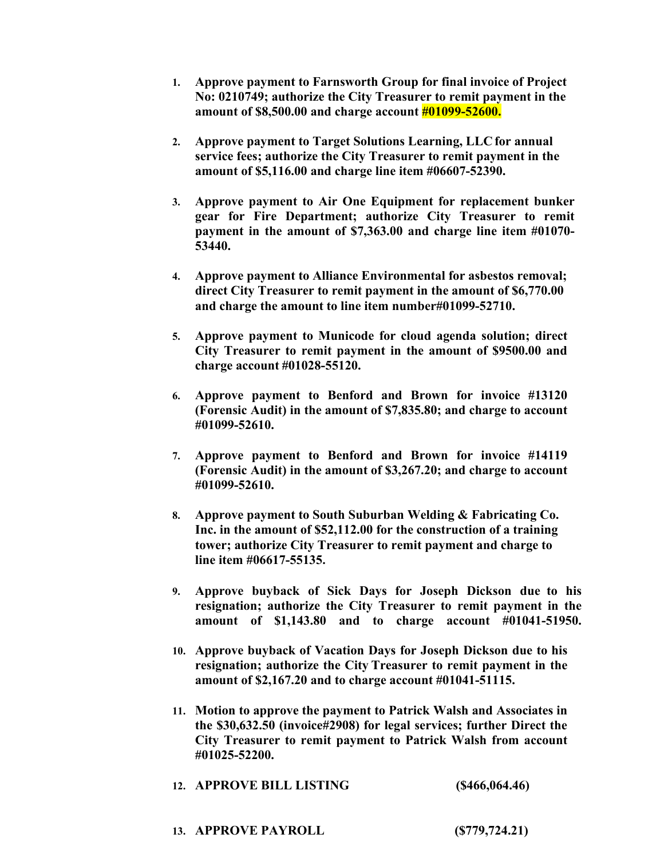- **1. Approve payment to Farnsworth Group for final invoice of Project No: 0210749; authorize the City Treasurer to remit payment in the amount of \$8,500.00 and charge account #01099-52600.**
- **2. Approve payment to Target Solutions Learning, LLC for annual service fees; authorize the City Treasurer to remit payment in the amount of \$5,116.00 and charge line item #06607-52390.**
- **3. Approve payment to Air One Equipment for replacement bunker gear for Fire Department; authorize City Treasurer to remit payment in the amount of \$7,363.00 and charge line item #01070- 53440.**
- **4. Approve payment to Alliance Environmental for asbestos removal; direct City Treasurer to remit payment in the amount of \$6,770.00 and charge the amount to line item number#01099-52710.**
- **5. Approve payment to Municode for cloud agenda solution; direct City Treasurer to remit payment in the amount of \$9500.00 and charge account #01028-55120.**
- **6. Approve payment to Benford and Brown for invoice #13120 (Forensic Audit) in the amount of \$7,835.80; and charge to account #01099-52610.**
- **7. Approve payment to Benford and Brown for invoice #14119 (Forensic Audit) in the amount of \$3,267.20; and charge to account #01099-52610.**
- **8. Approve payment to South Suburban Welding & Fabricating Co. Inc. in the amount of \$52,112.00 for the construction of a training tower; authorize City Treasurer to remit payment and charge to line item #06617-55135.**
- **9. Approve buyback of Sick Days for Joseph Dickson due to his resignation; authorize the City Treasurer to remit payment in the amount of \$1,143.80 and to charge account #01041-51950.**
- **10. Approve buyback of Vacation Days for Joseph Dickson due to his resignation; authorize the City Treasurer to remit payment in the amount of \$2,167.20 and to charge account #01041-51115.**
- **11. Motion to approve the payment to Patrick Walsh and Associates in the \$30,632.50 (invoice#2908) for legal services; further Direct the City Treasurer to remit payment to Patrick Walsh from account #01025-52200.**

| 12. APPROVE BILL LISTING | (\$466,064.46) |
|--------------------------|----------------|
|--------------------------|----------------|

| <b>13. APPROVE PAYROLL</b> | (S779, 724.21) |
|----------------------------|----------------|
|----------------------------|----------------|